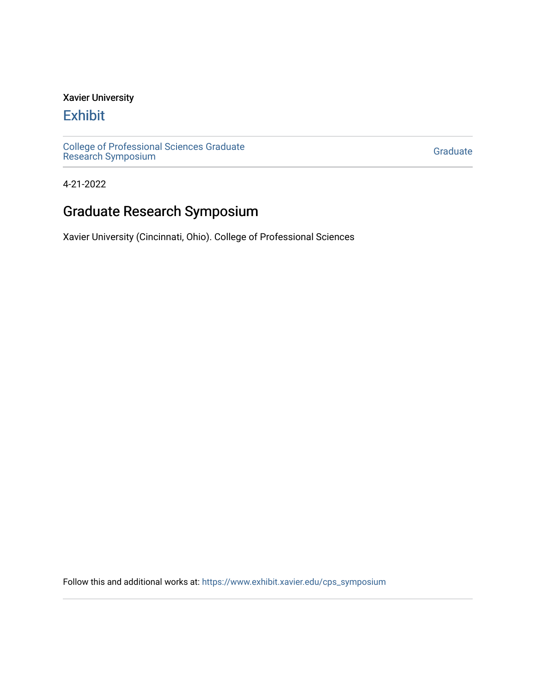#### Xavier University

### [Exhibit](https://www.exhibit.xavier.edu/)

[College of Professional Sciences Graduate](https://www.exhibit.xavier.edu/cps_symposium)  College of Professional Sciences Graduate<br>[Research Symposium](https://www.exhibit.xavier.edu/cps_symposium)

4-21-2022

# Graduate Research Symposium

Xavier University (Cincinnati, Ohio). College of Professional Sciences

Follow this and additional works at: [https://www.exhibit.xavier.edu/cps\\_symposium](https://www.exhibit.xavier.edu/cps_symposium?utm_source=www.exhibit.xavier.edu%2Fcps_symposium%2F2&utm_medium=PDF&utm_campaign=PDFCoverPages)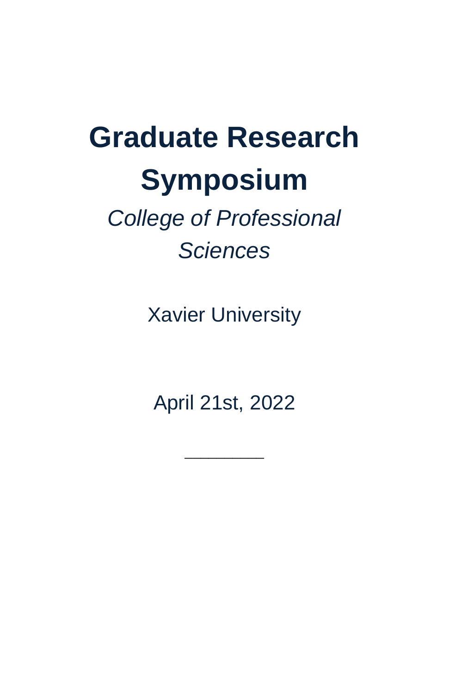# **Graduate Research Symposium**

# *College of Professional Sciences*

Xavier University

April 21st, 2022

 $\overline{\phantom{a}}$  , where  $\overline{\phantom{a}}$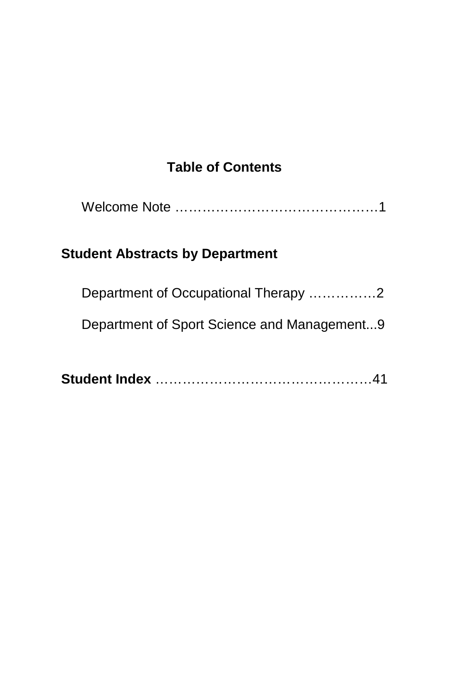#### **Table of Contents**

|--|

## **Student Abstracts by Department**

| Department of Occupational Therapy 2        |
|---------------------------------------------|
| Department of Sport Science and Management9 |

|--|--|--|--|--|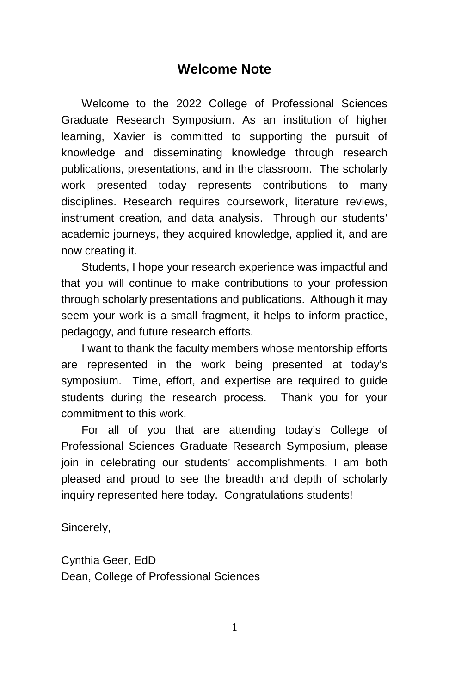#### **Welcome Note**

Welcome to the 2022 College of Professional Sciences Graduate Research Symposium. As an institution of higher learning, Xavier is committed to supporting the pursuit of knowledge and disseminating knowledge through research publications, presentations, and in the classroom. The scholarly work presented today represents contributions to many disciplines. Research requires coursework, literature reviews, instrument creation, and data analysis. Through our students' academic journeys, they acquired knowledge, applied it, and are now creating it.

Students, I hope your research experience was impactful and that you will continue to make contributions to your profession through scholarly presentations and publications. Although it may seem your work is a small fragment, it helps to inform practice, pedagogy, and future research efforts.

I want to thank the faculty members whose mentorship efforts are represented in the work being presented at today's symposium. Time, effort, and expertise are required to guide students during the research process. Thank you for your commitment to this work.

For all of you that are attending today's College of Professional Sciences Graduate Research Symposium, please join in celebrating our students' accomplishments. I am both pleased and proud to see the breadth and depth of scholarly inquiry represented here today. Congratulations students!

Sincerely,

Cynthia Geer, EdD Dean, College of Professional Sciences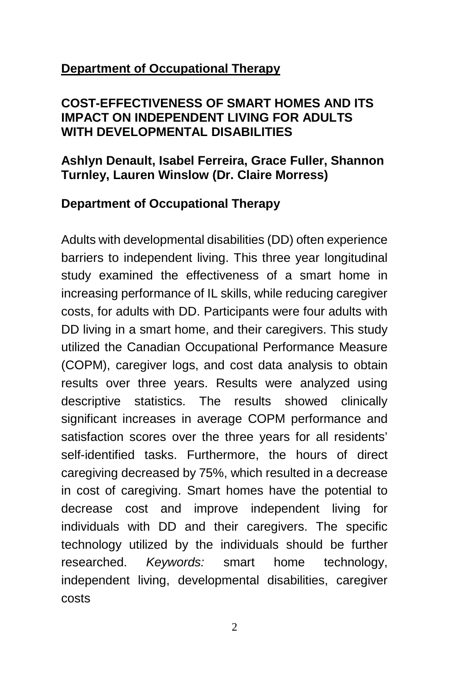#### **Department of Occupational Therapy**

#### **COST-EFFECTIVENESS OF SMART HOMES AND ITS IMPACT ON INDEPENDENT LIVING FOR ADULTS WITH DEVELOPMENTAL DISABILITIES**

#### **Ashlyn Denault, Isabel Ferreira, Grace Fuller, Shannon Turnley, Lauren Winslow (Dr. Claire Morress)**

#### **Department of Occupational Therapy**

Adults with developmental disabilities (DD) often experience barriers to independent living. This three year longitudinal study examined the effectiveness of a smart home in increasing performance of IL skills, while reducing caregiver costs, for adults with DD. Participants were four adults with DD living in a smart home, and their caregivers. This study utilized the Canadian Occupational Performance Measure (COPM), caregiver logs, and cost data analysis to obtain results over three years. Results were analyzed using descriptive statistics. The results showed clinically significant increases in average COPM performance and satisfaction scores over the three years for all residents' self-identified tasks. Furthermore, the hours of direct caregiving decreased by 75%, which resulted in a decrease in cost of caregiving. Smart homes have the potential to decrease cost and improve independent living for individuals with DD and their caregivers. The specific technology utilized by the individuals should be further researched. *Keywords:* smart home technology, independent living, developmental disabilities, caregiver costs

2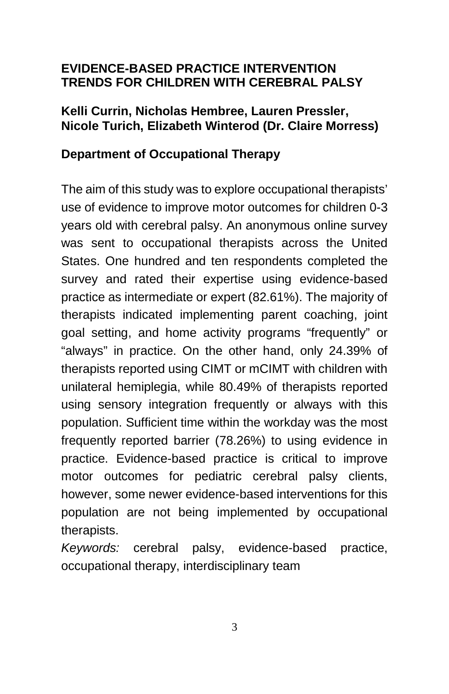#### **EVIDENCE-BASED PRACTICE INTERVENTION TRENDS FOR CHILDREN WITH CEREBRAL PALSY**

#### **Kelli Currin, Nicholas Hembree, Lauren Pressler, Nicole Turich, Elizabeth Winterod (Dr. Claire Morress)**

#### **Department of Occupational Therapy**

The aim of this study was to explore occupational therapists' use of evidence to improve motor outcomes for children 0-3 years old with cerebral palsy. An anonymous online survey was sent to occupational therapists across the United States. One hundred and ten respondents completed the survey and rated their expertise using evidence-based practice as intermediate or expert (82.61%). The majority of therapists indicated implementing parent coaching, joint goal setting, and home activity programs "frequently" or "always" in practice. On the other hand, only 24.39% of therapists reported using CIMT or mCIMT with children with unilateral hemiplegia, while 80.49% of therapists reported using sensory integration frequently or always with this population. Sufficient time within the workday was the most frequently reported barrier (78.26%) to using evidence in practice. Evidence-based practice is critical to improve motor outcomes for pediatric cerebral palsy clients, however, some newer evidence-based interventions for this population are not being implemented by occupational therapists.

*Keywords:* cerebral palsy, evidence-based practice, occupational therapy, interdisciplinary team

3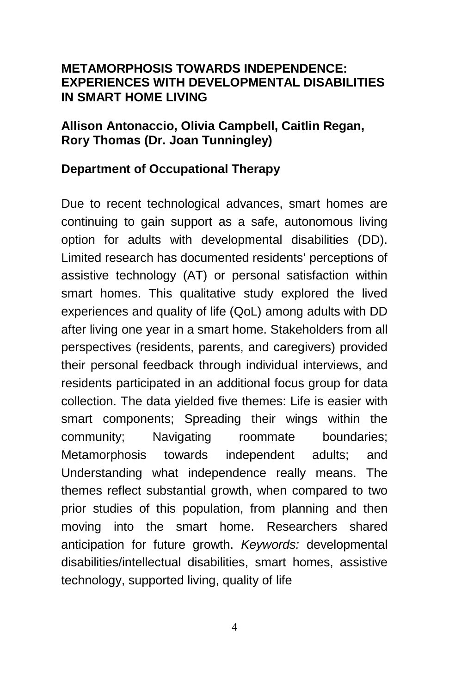#### **METAMORPHOSIS TOWARDS INDEPENDENCE: EXPERIENCES WITH DEVELOPMENTAL DISABILITIES IN SMART HOME LIVING**

#### **Allison Antonaccio, Olivia Campbell, Caitlin Regan, Rory Thomas (Dr. Joan Tunningley)**

#### **Department of Occupational Therapy**

Due to recent technological advances, smart homes are continuing to gain support as a safe, autonomous living option for adults with developmental disabilities (DD). Limited research has documented residents' perceptions of assistive technology (AT) or personal satisfaction within smart homes. This qualitative study explored the lived experiences and quality of life (QoL) among adults with DD after living one year in a smart home. Stakeholders from all perspectives (residents, parents, and caregivers) provided their personal feedback through individual interviews, and residents participated in an additional focus group for data collection. The data yielded five themes: Life is easier with smart components; Spreading their wings within the community; Navigating roommate boundaries; Metamorphosis towards independent adults; and Understanding what independence really means. The themes reflect substantial growth, when compared to two prior studies of this population, from planning and then moving into the smart home. Researchers shared anticipation for future growth. *Keywords:* developmental disabilities/intellectual disabilities, smart homes, assistive technology, supported living, quality of life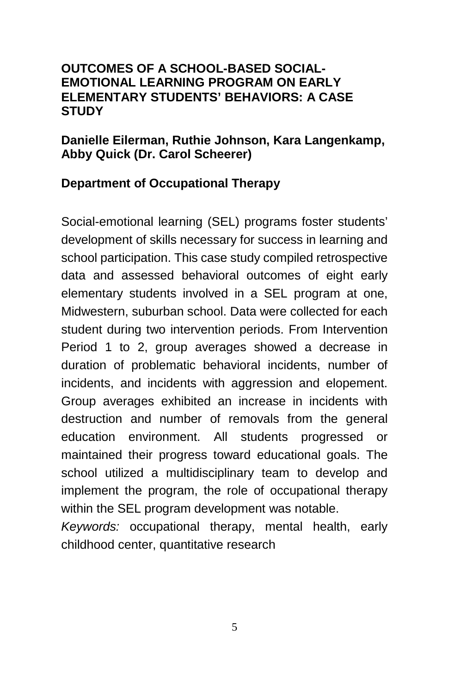#### **OUTCOMES OF A SCHOOL-BASED SOCIAL-EMOTIONAL LEARNING PROGRAM ON EARLY ELEMENTARY STUDENTS' BEHAVIORS: A CASE STUDY**

#### **Danielle Eilerman, Ruthie Johnson, Kara Langenkamp, Abby Quick (Dr. Carol Scheerer)**

#### **Department of Occupational Therapy**

Social-emotional learning (SEL) programs foster students' development of skills necessary for success in learning and school participation. This case study compiled retrospective data and assessed behavioral outcomes of eight early elementary students involved in a SEL program at one, Midwestern, suburban school. Data were collected for each student during two intervention periods. From Intervention Period 1 to 2, group averages showed a decrease in duration of problematic behavioral incidents, number of incidents, and incidents with aggression and elopement. Group averages exhibited an increase in incidents with destruction and number of removals from the general education environment. All students progressed or maintained their progress toward educational goals. The school utilized a multidisciplinary team to develop and implement the program, the role of occupational therapy within the SEL program development was notable. *Keywords:* occupational therapy, mental health, early

childhood center, quantitative research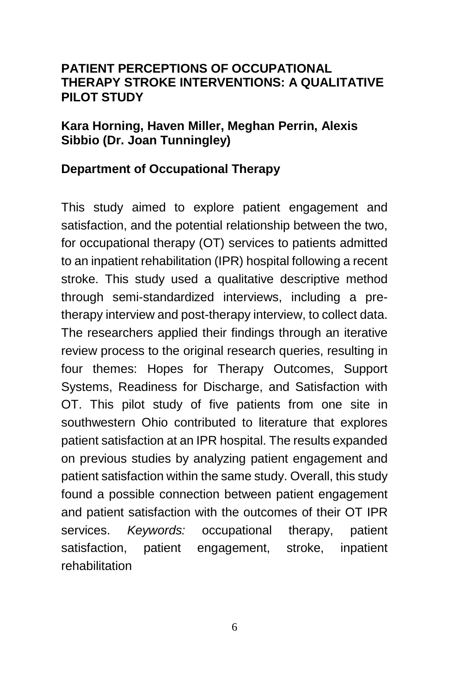#### **PATIENT PERCEPTIONS OF OCCUPATIONAL THERAPY STROKE INTERVENTIONS: A QUALITATIVE PILOT STUDY**

#### **Kara Horning, Haven Miller, Meghan Perrin, Alexis Sibbio (Dr. Joan Tunningley)**

#### **Department of Occupational Therapy**

This study aimed to explore patient engagement and satisfaction, and the potential relationship between the two, for occupational therapy (OT) services to patients admitted to an inpatient rehabilitation (IPR) hospital following a recent stroke. This study used a qualitative descriptive method through semi-standardized interviews, including a pretherapy interview and post-therapy interview, to collect data. The researchers applied their findings through an iterative review process to the original research queries, resulting in four themes: Hopes for Therapy Outcomes, Support Systems, Readiness for Discharge, and Satisfaction with OT. This pilot study of five patients from one site in southwestern Ohio contributed to literature that explores patient satisfaction at an IPR hospital. The results expanded on previous studies by analyzing patient engagement and patient satisfaction within the same study. Overall, this study found a possible connection between patient engagement and patient satisfaction with the outcomes of their OT IPR services. *Keywords:* occupational therapy, patient satisfaction, patient engagement, stroke, inpatient rehabilitation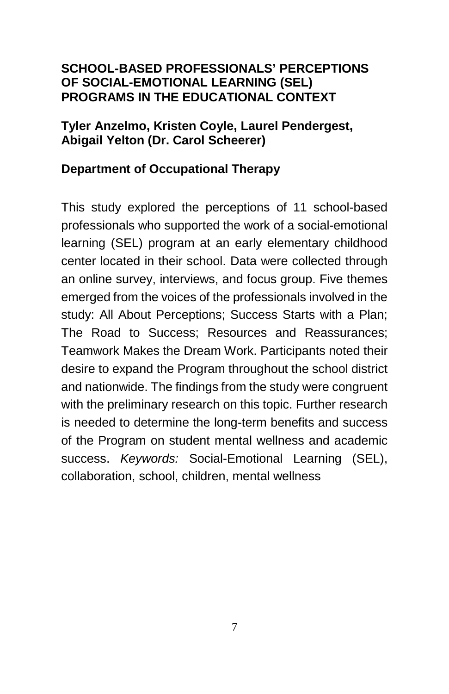#### **SCHOOL-BASED PROFESSIONALS' PERCEPTIONS OF SOCIAL-EMOTIONAL LEARNING (SEL) PROGRAMS IN THE EDUCATIONAL CONTEXT**

#### **Tyler Anzelmo, Kristen Coyle, Laurel Pendergest, Abigail Yelton (Dr. Carol Scheerer)**

#### **Department of Occupational Therapy**

This study explored the perceptions of 11 school-based professionals who supported the work of a social-emotional learning (SEL) program at an early elementary childhood center located in their school. Data were collected through an online survey, interviews, and focus group. Five themes emerged from the voices of the professionals involved in the study: All About Perceptions; Success Starts with a Plan; The Road to Success; Resources and Reassurances; Teamwork Makes the Dream Work. Participants noted their desire to expand the Program throughout the school district and nationwide. The findings from the study were congruent with the preliminary research on this topic. Further research is needed to determine the long-term benefits and success of the Program on student mental wellness and academic success. *Keywords:* Social-Emotional Learning (SEL), collaboration, school, children, mental wellness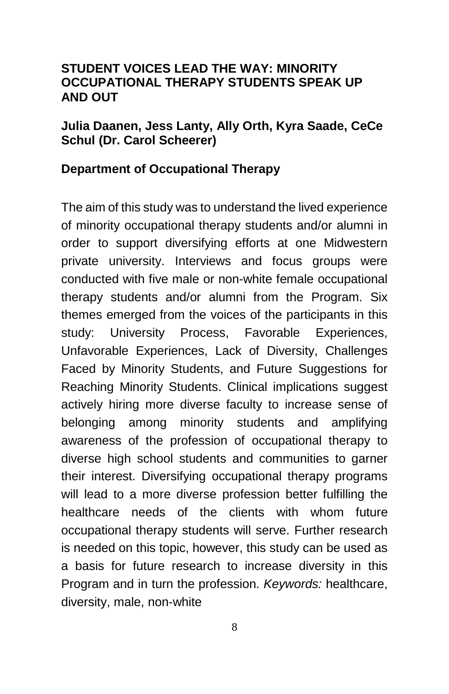#### **STUDENT VOICES LEAD THE WAY: MINORITY OCCUPATIONAL THERAPY STUDENTS SPEAK UP AND OUT**

#### **Julia Daanen, Jess Lanty, Ally Orth, Kyra Saade, CeCe Schul (Dr. Carol Scheerer)**

#### **Department of Occupational Therapy**

The aim of this study was to understand the lived experience of minority occupational therapy students and/or alumni in order to support diversifying efforts at one Midwestern private university. Interviews and focus groups were conducted with five male or non-white female occupational therapy students and/or alumni from the Program. Six themes emerged from the voices of the participants in this study: University Process, Favorable Experiences, Unfavorable Experiences, Lack of Diversity, Challenges Faced by Minority Students, and Future Suggestions for Reaching Minority Students. Clinical implications suggest actively hiring more diverse faculty to increase sense of belonging among minority students and amplifying awareness of the profession of occupational therapy to diverse high school students and communities to garner their interest. Diversifying occupational therapy programs will lead to a more diverse profession better fulfilling the healthcare needs of the clients with whom future occupational therapy students will serve. Further research is needed on this topic, however, this study can be used as a basis for future research to increase diversity in this Program and in turn the profession. *Keywords:* healthcare, diversity, male, non-white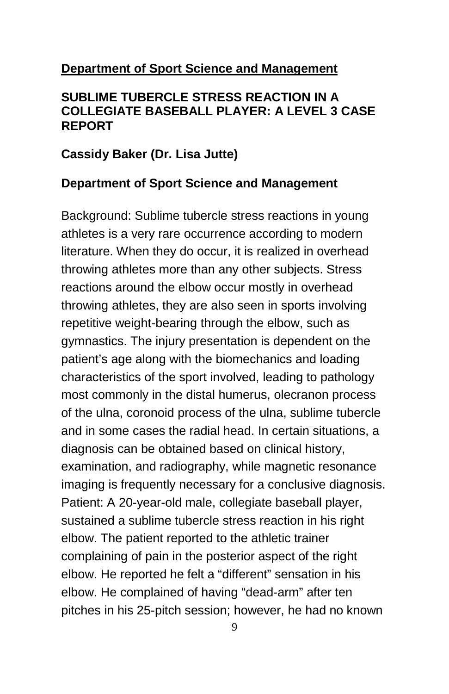#### **Department of Sport Science and Management**

#### **SUBLIME TUBERCLE STRESS REACTION IN A COLLEGIATE BASEBALL PLAYER: A LEVEL 3 CASE REPORT**

#### **Cassidy Baker (Dr. Lisa Jutte)**

#### **Department of Sport Science and Management**

Background: Sublime tubercle stress reactions in young athletes is a very rare occurrence according to modern literature. When they do occur, it is realized in overhead throwing athletes more than any other subjects. Stress reactions around the elbow occur mostly in overhead throwing athletes, they are also seen in sports involving repetitive weight-bearing through the elbow, such as gymnastics. The injury presentation is dependent on the patient's age along with the biomechanics and loading characteristics of the sport involved, leading to pathology most commonly in the distal humerus, olecranon process of the ulna, coronoid process of the ulna, sublime tubercle and in some cases the radial head. In certain situations, a diagnosis can be obtained based on clinical history, examination, and radiography, while magnetic resonance imaging is frequently necessary for a conclusive diagnosis. Patient: A 20-year-old male, collegiate baseball player, sustained a sublime tubercle stress reaction in his right elbow. The patient reported to the athletic trainer complaining of pain in the posterior aspect of the right elbow. He reported he felt a "different" sensation in his elbow. He complained of having "dead-arm" after ten pitches in his 25-pitch session; however, he had no known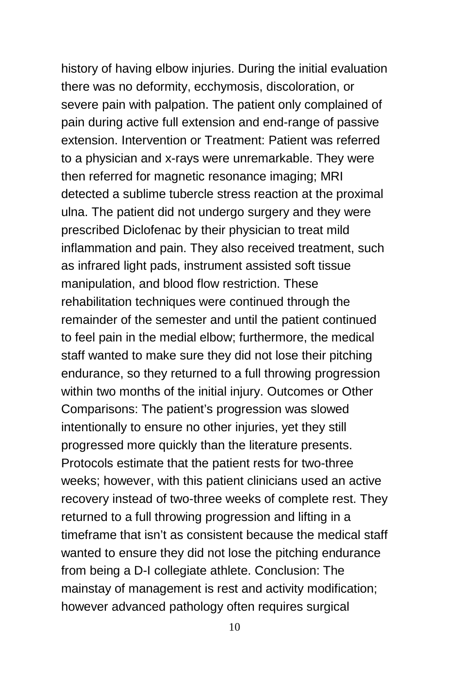history of having elbow injuries. During the initial evaluation there was no deformity, ecchymosis, discoloration, or severe pain with palpation. The patient only complained of pain during active full extension and end-range of passive extension. Intervention or Treatment: Patient was referred to a physician and x-rays were unremarkable. They were then referred for magnetic resonance imaging; MRI detected a sublime tubercle stress reaction at the proximal ulna. The patient did not undergo surgery and they were prescribed Diclofenac by their physician to treat mild inflammation and pain. They also received treatment, such as infrared light pads, instrument assisted soft tissue manipulation, and blood flow restriction. These rehabilitation techniques were continued through the remainder of the semester and until the patient continued to feel pain in the medial elbow; furthermore, the medical staff wanted to make sure they did not lose their pitching endurance, so they returned to a full throwing progression within two months of the initial injury. Outcomes or Other Comparisons: The patient's progression was slowed intentionally to ensure no other injuries, yet they still progressed more quickly than the literature presents. Protocols estimate that the patient rests for two-three weeks; however, with this patient clinicians used an active recovery instead of two-three weeks of complete rest. They returned to a full throwing progression and lifting in a timeframe that isn't as consistent because the medical staff wanted to ensure they did not lose the pitching endurance from being a D-I collegiate athlete. Conclusion: The mainstay of management is rest and activity modification; however advanced pathology often requires surgical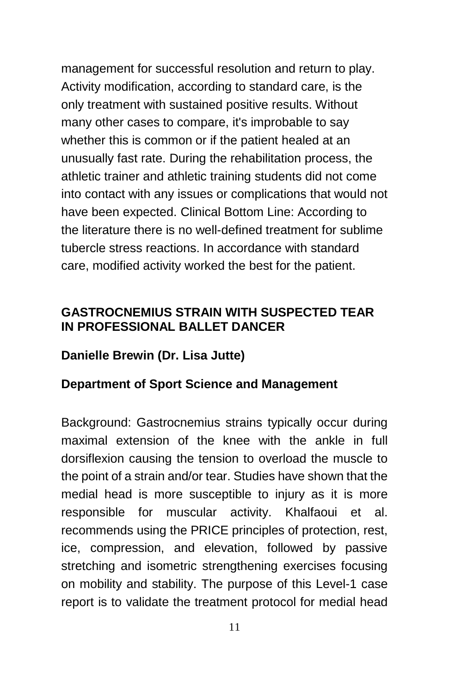management for successful resolution and return to play. Activity modification, according to standard care, is the only treatment with sustained positive results. Without many other cases to compare, it's improbable to say whether this is common or if the patient healed at an unusually fast rate. During the rehabilitation process, the athletic trainer and athletic training students did not come into contact with any issues or complications that would not have been expected. Clinical Bottom Line: According to the literature there is no well-defined treatment for sublime tubercle stress reactions. In accordance with standard care, modified activity worked the best for the patient.

#### **GASTROCNEMIUS STRAIN WITH SUSPECTED TEAR IN PROFESSIONAL BALLET DANCER**

#### **Danielle Brewin (Dr. Lisa Jutte)**

#### **Department of Sport Science and Management**

Background: Gastrocnemius strains typically occur during maximal extension of the knee with the ankle in full dorsiflexion causing the tension to overload the muscle to the point of a strain and/or tear. Studies have shown that the medial head is more susceptible to injury as it is more responsible for muscular activity. Khalfaoui et al. recommends using the PRICE principles of protection, rest, ice, compression, and elevation, followed by passive stretching and isometric strengthening exercises focusing on mobility and stability. The purpose of this Level-1 case report is to validate the treatment protocol for medial head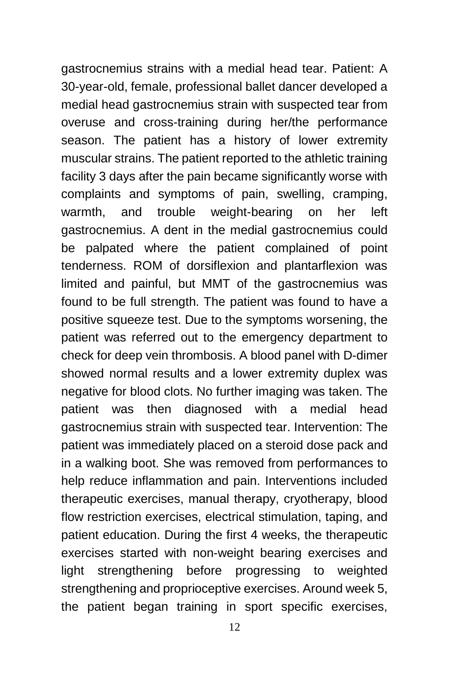gastrocnemius strains with a medial head tear. Patient: A 30-year-old, female, professional ballet dancer developed a medial head gastrocnemius strain with suspected tear from overuse and cross-training during her/the performance season. The patient has a history of lower extremity muscular strains. The patient reported to the athletic training facility 3 days after the pain became significantly worse with complaints and symptoms of pain, swelling, cramping, warmth, and trouble weight-bearing on her left gastrocnemius. A dent in the medial gastrocnemius could be palpated where the patient complained of point tenderness. ROM of dorsiflexion and plantarflexion was limited and painful, but MMT of the gastrocnemius was found to be full strength. The patient was found to have a positive squeeze test. Due to the symptoms worsening, the patient was referred out to the emergency department to check for deep vein thrombosis. A blood panel with D-dimer showed normal results and a lower extremity duplex was negative for blood clots. No further imaging was taken. The patient was then diagnosed with a medial head gastrocnemius strain with suspected tear. Intervention: The patient was immediately placed on a steroid dose pack and in a walking boot. She was removed from performances to help reduce inflammation and pain. Interventions included therapeutic exercises, manual therapy, cryotherapy, blood flow restriction exercises, electrical stimulation, taping, and patient education. During the first 4 weeks, the therapeutic exercises started with non-weight bearing exercises and light strengthening before progressing to weighted strengthening and proprioceptive exercises. Around week 5, the patient began training in sport specific exercises,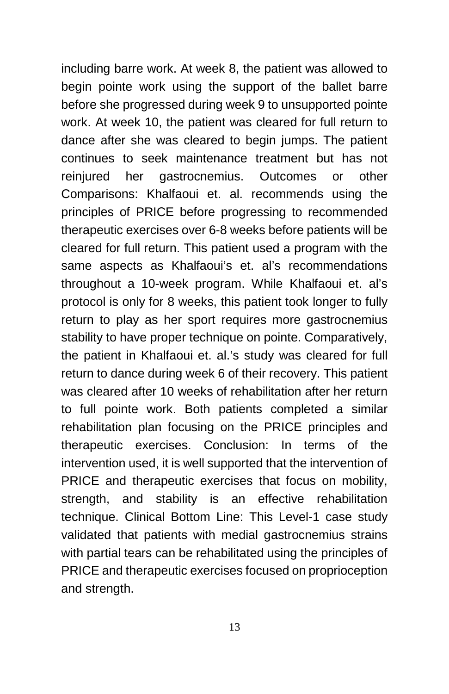including barre work. At week 8, the patient was allowed to begin pointe work using the support of the ballet barre before she progressed during week 9 to unsupported pointe work. At week 10, the patient was cleared for full return to dance after she was cleared to begin jumps. The patient continues to seek maintenance treatment but has not reinjured her gastrocnemius. Outcomes or other Comparisons: Khalfaoui et. al. recommends using the principles of PRICE before progressing to recommended therapeutic exercises over 6-8 weeks before patients will be cleared for full return. This patient used a program with the same aspects as Khalfaoui's et. al's recommendations throughout a 10-week program. While Khalfaoui et. al's protocol is only for 8 weeks, this patient took longer to fully return to play as her sport requires more gastrocnemius stability to have proper technique on pointe. Comparatively, the patient in Khalfaoui et. al.'s study was cleared for full return to dance during week 6 of their recovery. This patient was cleared after 10 weeks of rehabilitation after her return to full pointe work. Both patients completed a similar rehabilitation plan focusing on the PRICE principles and therapeutic exercises. Conclusion: In terms of the intervention used, it is well supported that the intervention of PRICE and therapeutic exercises that focus on mobility, strength, and stability is an effective rehabilitation technique. Clinical Bottom Line: This Level-1 case study validated that patients with medial gastrocnemius strains with partial tears can be rehabilitated using the principles of PRICE and therapeutic exercises focused on proprioception and strength.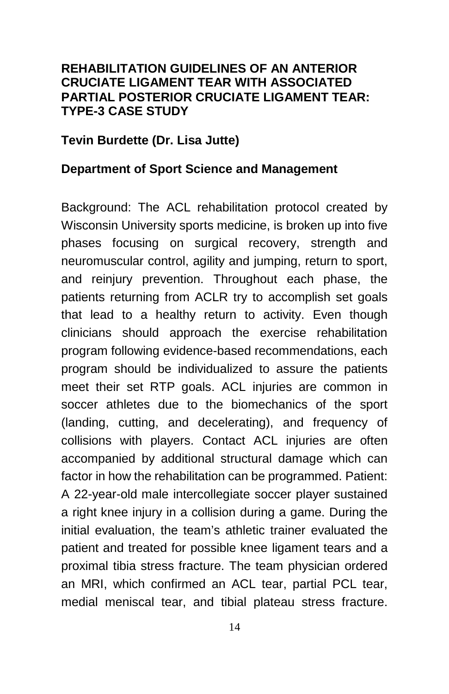#### **REHABILITATION GUIDELINES OF AN ANTERIOR CRUCIATE LIGAMENT TEAR WITH ASSOCIATED PARTIAL POSTERIOR CRUCIATE LIGAMENT TEAR: TYPE-3 CASE STUDY**

#### **Tevin Burdette (Dr. Lisa Jutte)**

#### **Department of Sport Science and Management**

Background: The ACL rehabilitation protocol created by Wisconsin University sports medicine, is broken up into five phases focusing on surgical recovery, strength and neuromuscular control, agility and jumping, return to sport, and reinjury prevention. Throughout each phase, the patients returning from ACLR try to accomplish set goals that lead to a healthy return to activity. Even though clinicians should approach the exercise rehabilitation program following evidence-based recommendations, each program should be individualized to assure the patients meet their set RTP goals. ACL injuries are common in soccer athletes due to the biomechanics of the sport (landing, cutting, and decelerating), and frequency of collisions with players. Contact ACL injuries are often accompanied by additional structural damage which can factor in how the rehabilitation can be programmed. Patient: A 22-year-old male intercollegiate soccer player sustained a right knee injury in a collision during a game. During the initial evaluation, the team's athletic trainer evaluated the patient and treated for possible knee ligament tears and a proximal tibia stress fracture. The team physician ordered an MRI, which confirmed an ACL tear, partial PCL tear, medial meniscal tear, and tibial plateau stress fracture.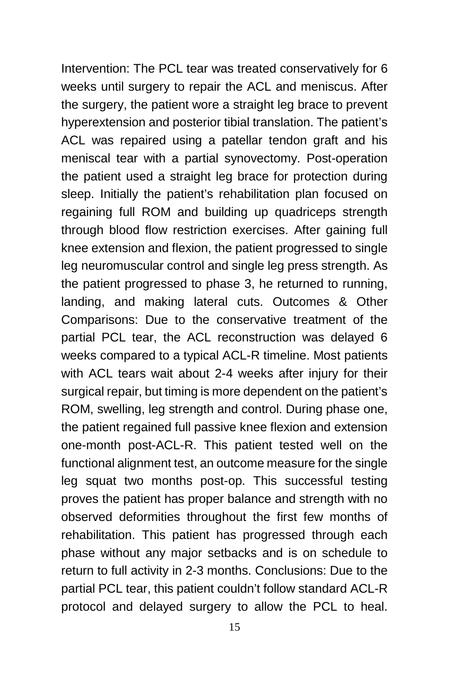Intervention: The PCL tear was treated conservatively for 6 weeks until surgery to repair the ACL and meniscus. After the surgery, the patient wore a straight leg brace to prevent hyperextension and posterior tibial translation. The patient's ACL was repaired using a patellar tendon graft and his meniscal tear with a partial synovectomy. Post-operation the patient used a straight leg brace for protection during sleep. Initially the patient's rehabilitation plan focused on regaining full ROM and building up quadriceps strength through blood flow restriction exercises. After gaining full knee extension and flexion, the patient progressed to single leg neuromuscular control and single leg press strength. As the patient progressed to phase 3, he returned to running, landing, and making lateral cuts. Outcomes & Other Comparisons: Due to the conservative treatment of the partial PCL tear, the ACL reconstruction was delayed 6 weeks compared to a typical ACL-R timeline. Most patients with ACL tears wait about 2-4 weeks after injury for their surgical repair, but timing is more dependent on the patient's ROM, swelling, leg strength and control. During phase one, the patient regained full passive knee flexion and extension one-month post-ACL-R. This patient tested well on the functional alignment test, an outcome measure for the single leg squat two months post-op. This successful testing proves the patient has proper balance and strength with no observed deformities throughout the first few months of rehabilitation. This patient has progressed through each phase without any major setbacks and is on schedule to return to full activity in 2-3 months. Conclusions: Due to the partial PCL tear, this patient couldn't follow standard ACL-R protocol and delayed surgery to allow the PCL to heal.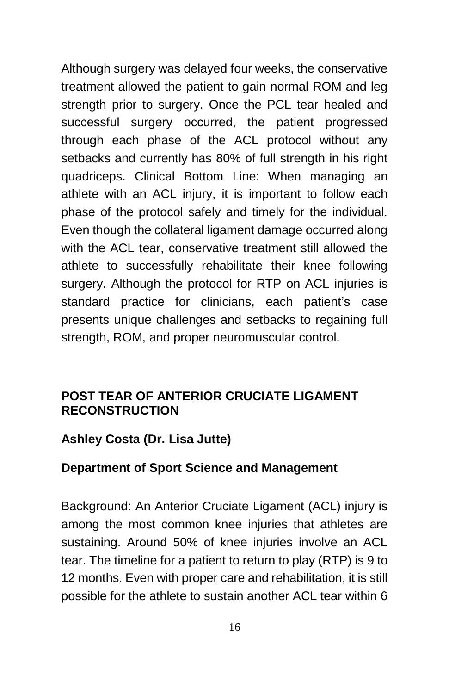Although surgery was delayed four weeks, the conservative treatment allowed the patient to gain normal ROM and leg strength prior to surgery. Once the PCL tear healed and successful surgery occurred, the patient progressed through each phase of the ACL protocol without any setbacks and currently has 80% of full strength in his right quadriceps. Clinical Bottom Line: When managing an athlete with an ACL injury, it is important to follow each phase of the protocol safely and timely for the individual. Even though the collateral ligament damage occurred along with the ACL tear, conservative treatment still allowed the athlete to successfully rehabilitate their knee following surgery. Although the protocol for RTP on ACL injuries is standard practice for clinicians, each patient's case presents unique challenges and setbacks to regaining full strength, ROM, and proper neuromuscular control.

#### **POST TEAR OF ANTERIOR CRUCIATE LIGAMENT RECONSTRUCTION**

#### **Ashley Costa (Dr. Lisa Jutte)**

#### **Department of Sport Science and Management**

Background: An Anterior Cruciate Ligament (ACL) injury is among the most common knee injuries that athletes are sustaining. Around 50% of knee injuries involve an ACL tear. The timeline for a patient to return to play (RTP) is 9 to 12 months. Even with proper care and rehabilitation, it is still possible for the athlete to sustain another ACL tear within 6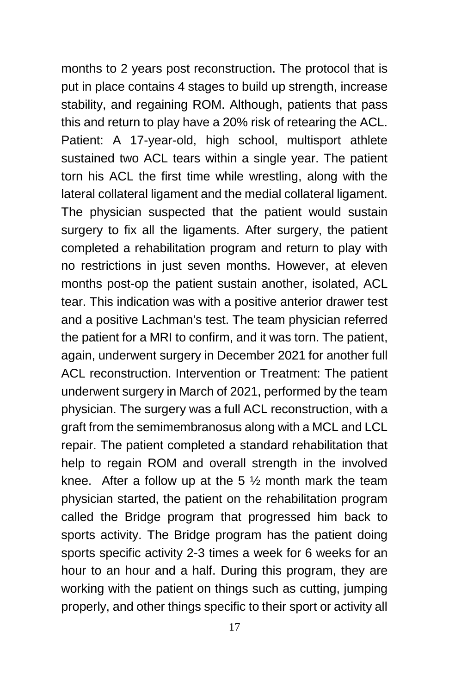months to 2 years post reconstruction. The protocol that is put in place contains 4 stages to build up strength, increase stability, and regaining ROM. Although, patients that pass this and return to play have a 20% risk of retearing the ACL. Patient: A 17-year-old, high school, multisport athlete sustained two ACL tears within a single year. The patient torn his ACL the first time while wrestling, along with the lateral collateral ligament and the medial collateral ligament. The physician suspected that the patient would sustain surgery to fix all the ligaments. After surgery, the patient completed a rehabilitation program and return to play with no restrictions in just seven months. However, at eleven months post-op the patient sustain another, isolated, ACL tear. This indication was with a positive anterior drawer test and a positive Lachman's test. The team physician referred the patient for a MRI to confirm, and it was torn. The patient, again, underwent surgery in December 2021 for another full ACL reconstruction. Intervention or Treatment: The patient underwent surgery in March of 2021, performed by the team physician. The surgery was a full ACL reconstruction, with a graft from the semimembranosus along with a MCL and LCL repair. The patient completed a standard rehabilitation that help to regain ROM and overall strength in the involved knee. After a follow up at the 5  $\frac{1}{2}$  month mark the team physician started, the patient on the rehabilitation program called the Bridge program that progressed him back to sports activity. The Bridge program has the patient doing sports specific activity 2-3 times a week for 6 weeks for an hour to an hour and a half. During this program, they are working with the patient on things such as cutting, jumping properly, and other things specific to their sport or activity all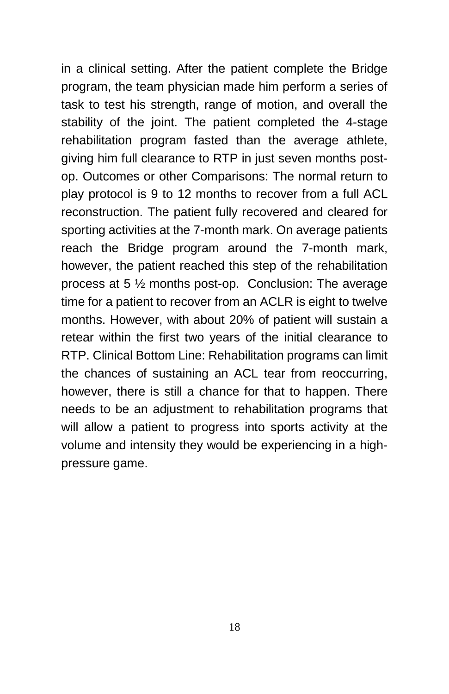in a clinical setting. After the patient complete the Bridge program, the team physician made him perform a series of task to test his strength, range of motion, and overall the stability of the joint. The patient completed the 4-stage rehabilitation program fasted than the average athlete, giving him full clearance to RTP in just seven months postop. Outcomes or other Comparisons: The normal return to play protocol is 9 to 12 months to recover from a full ACL reconstruction. The patient fully recovered and cleared for sporting activities at the 7-month mark. On average patients reach the Bridge program around the 7-month mark, however, the patient reached this step of the rehabilitation process at 5 ½ months post-op. Conclusion: The average time for a patient to recover from an ACLR is eight to twelve months. However, with about 20% of patient will sustain a retear within the first two years of the initial clearance to RTP. Clinical Bottom Line: Rehabilitation programs can limit the chances of sustaining an ACL tear from reoccurring, however, there is still a chance for that to happen. There needs to be an adjustment to rehabilitation programs that will allow a patient to progress into sports activity at the volume and intensity they would be experiencing in a highpressure game.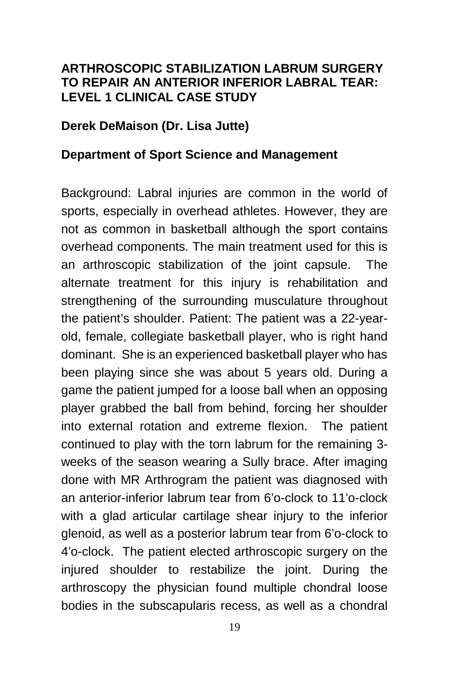#### **ARTHROSCOPIC STABILIZATION LABRUM SURGERY TO REPAIR AN ANTERIOR INFERIOR LABRAL TEAR: LEVEL 1 CLINICAL CASE STUDY**

#### **Derek DeMaison (Dr. Lisa Jutte)**

#### **Department of Sport Science and Management**

Background: Labral injuries are common in the world of sports, especially in overhead athletes. However, they are not as common in basketball although the sport contains overhead components. The main treatment used for this is an arthroscopic stabilization of the joint capsule. The alternate treatment for this injury is rehabilitation and strengthening of the surrounding musculature throughout the patient's shoulder. Patient: The patient was a 22-yearold, female, collegiate basketball player, who is right hand dominant. She is an experienced basketball player who has been playing since she was about 5 years old. During a game the patient jumped for a loose ball when an opposing player grabbed the ball from behind, forcing her shoulder into external rotation and extreme flexion. The patient continued to play with the torn labrum for the remaining 3 weeks of the season wearing a Sully brace. After imaging done with MR Arthrogram the patient was diagnosed with an anterior-inferior labrum tear from 6'o-clock to 11'o-clock with a glad articular cartilage shear injury to the inferior glenoid, as well as a posterior labrum tear from 6'o-clock to 4'o-clock. The patient elected arthroscopic surgery on the injured shoulder to restabilize the joint. During the arthroscopy the physician found multiple chondral loose bodies in the subscapularis recess, as well as a chondral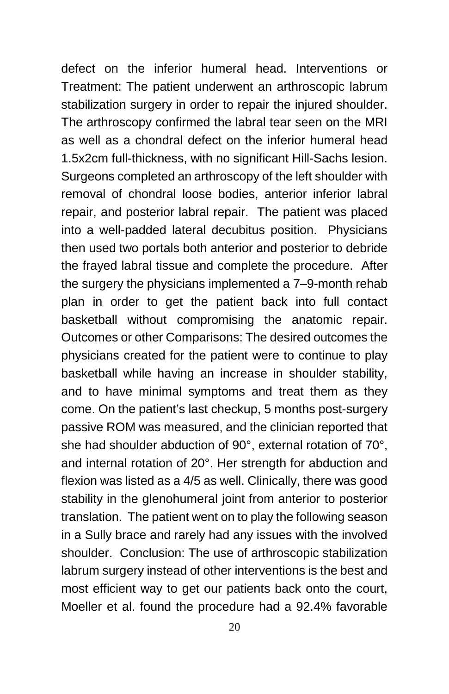defect on the inferior humeral head. Interventions or Treatment: The patient underwent an arthroscopic labrum stabilization surgery in order to repair the injured shoulder. The arthroscopy confirmed the labral tear seen on the MRI as well as a chondral defect on the inferior humeral head 1.5x2cm full-thickness, with no significant Hill-Sachs lesion. Surgeons completed an arthroscopy of the left shoulder with removal of chondral loose bodies, anterior inferior labral repair, and posterior labral repair. The patient was placed into a well-padded lateral decubitus position. Physicians then used two portals both anterior and posterior to debride the frayed labral tissue and complete the procedure. After the surgery the physicians implemented a 7–9-month rehab plan in order to get the patient back into full contact basketball without compromising the anatomic repair. Outcomes or other Comparisons: The desired outcomes the physicians created for the patient were to continue to play basketball while having an increase in shoulder stability, and to have minimal symptoms and treat them as they come. On the patient's last checkup, 5 months post-surgery passive ROM was measured, and the clinician reported that she had shoulder abduction of 90°, external rotation of 70°, and internal rotation of 20°. Her strength for abduction and flexion was listed as a 4/5 as well. Clinically, there was good stability in the glenohumeral joint from anterior to posterior translation. The patient went on to play the following season in a Sully brace and rarely had any issues with the involved shoulder. Conclusion: The use of arthroscopic stabilization labrum surgery instead of other interventions is the best and most efficient way to get our patients back onto the court, Moeller et al. found the procedure had a 92.4% favorable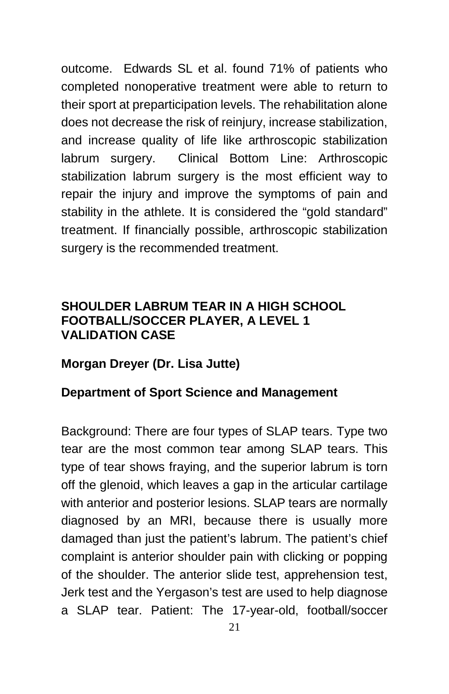outcome. Edwards SL et al. found 71% of patients who completed nonoperative treatment were able to return to their sport at preparticipation levels. The rehabilitation alone does not decrease the risk of reinjury, increase stabilization, and increase quality of life like arthroscopic stabilization labrum surgery. Clinical Bottom Line: Arthroscopic stabilization labrum surgery is the most efficient way to repair the injury and improve the symptoms of pain and stability in the athlete. It is considered the "gold standard" treatment. If financially possible, arthroscopic stabilization surgery is the recommended treatment.

#### **SHOULDER LABRUM TEAR IN A HIGH SCHOOL FOOTBALL/SOCCER PLAYER, A LEVEL 1 VALIDATION CASE**

#### **Morgan Dreyer (Dr. Lisa Jutte)**

#### **Department of Sport Science and Management**

Background: There are four types of SLAP tears. Type two tear are the most common tear among SLAP tears. This type of tear shows fraying, and the superior labrum is torn off the glenoid, which leaves a gap in the articular cartilage with anterior and posterior lesions. SLAP tears are normally diagnosed by an MRI, because there is usually more damaged than just the patient's labrum. The patient's chief complaint is anterior shoulder pain with clicking or popping of the shoulder. The anterior slide test, apprehension test, Jerk test and the Yergason's test are used to help diagnose a SLAP tear. Patient: The 17-year-old, football/soccer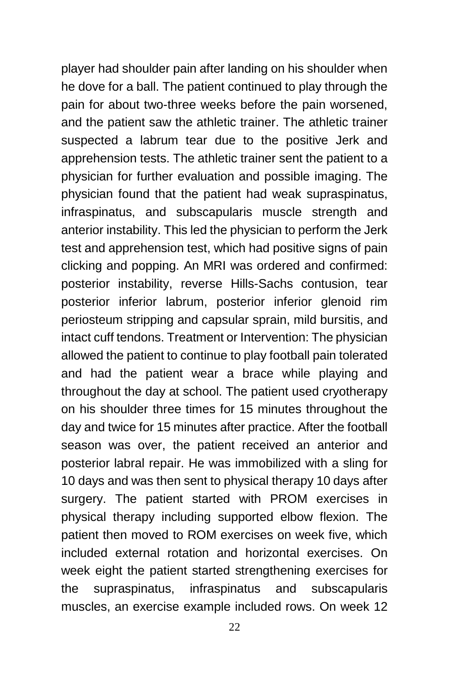player had shoulder pain after landing on his shoulder when he dove for a ball. The patient continued to play through the pain for about two-three weeks before the pain worsened, and the patient saw the athletic trainer. The athletic trainer suspected a labrum tear due to the positive Jerk and apprehension tests. The athletic trainer sent the patient to a physician for further evaluation and possible imaging. The physician found that the patient had weak supraspinatus, infraspinatus, and subscapularis muscle strength and anterior instability. This led the physician to perform the Jerk test and apprehension test, which had positive signs of pain clicking and popping. An MRI was ordered and confirmed: posterior instability, reverse Hills-Sachs contusion, tear posterior inferior labrum, posterior inferior glenoid rim periosteum stripping and capsular sprain, mild bursitis, and intact cuff tendons. Treatment or Intervention: The physician allowed the patient to continue to play football pain tolerated and had the patient wear a brace while playing and throughout the day at school. The patient used cryotherapy on his shoulder three times for 15 minutes throughout the day and twice for 15 minutes after practice. After the football season was over, the patient received an anterior and posterior labral repair. He was immobilized with a sling for 10 days and was then sent to physical therapy 10 days after surgery. The patient started with PROM exercises in physical therapy including supported elbow flexion. The patient then moved to ROM exercises on week five, which included external rotation and horizontal exercises. On week eight the patient started strengthening exercises for the supraspinatus, infraspinatus and subscapularis muscles, an exercise example included rows. On week 12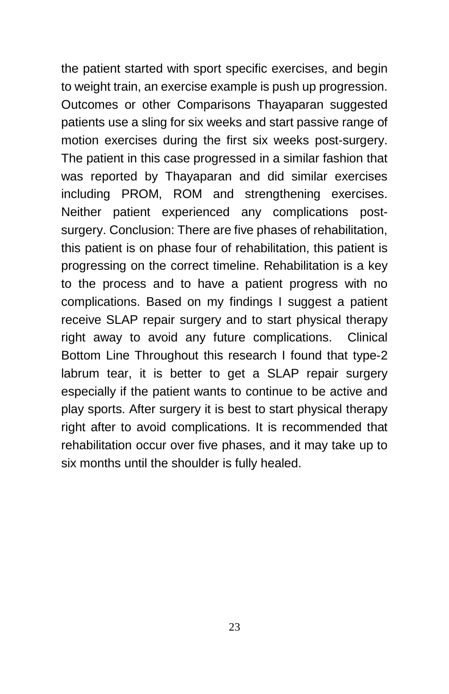the patient started with sport specific exercises, and begin to weight train, an exercise example is push up progression. Outcomes or other Comparisons Thayaparan suggested patients use a sling for six weeks and start passive range of motion exercises during the first six weeks post-surgery. The patient in this case progressed in a similar fashion that was reported by Thayaparan and did similar exercises including PROM, ROM and strengthening exercises. Neither patient experienced any complications postsurgery. Conclusion: There are five phases of rehabilitation, this patient is on phase four of rehabilitation, this patient is progressing on the correct timeline. Rehabilitation is a key to the process and to have a patient progress with no complications. Based on my findings I suggest a patient receive SLAP repair surgery and to start physical therapy right away to avoid any future complications. Clinical Bottom Line Throughout this research I found that type-2 labrum tear, it is better to get a SLAP repair surgery especially if the patient wants to continue to be active and play sports. After surgery it is best to start physical therapy right after to avoid complications. It is recommended that rehabilitation occur over five phases, and it may take up to six months until the shoulder is fully healed.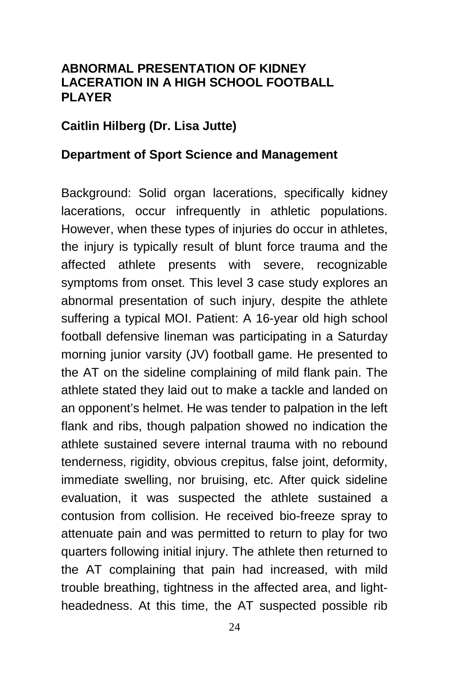#### **ABNORMAL PRESENTATION OF KIDNEY LACERATION IN A HIGH SCHOOL FOOTBALL PLAYER**

#### **Caitlin Hilberg (Dr. Lisa Jutte)**

#### **Department of Sport Science and Management**

Background: Solid organ lacerations, specifically kidney lacerations, occur infrequently in athletic populations. However, when these types of injuries do occur in athletes, the injury is typically result of blunt force trauma and the affected athlete presents with severe, recognizable symptoms from onset. This level 3 case study explores an abnormal presentation of such injury, despite the athlete suffering a typical MOI. Patient: A 16-year old high school football defensive lineman was participating in a Saturday morning junior varsity (JV) football game. He presented to the AT on the sideline complaining of mild flank pain. The athlete stated they laid out to make a tackle and landed on an opponent's helmet. He was tender to palpation in the left flank and ribs, though palpation showed no indication the athlete sustained severe internal trauma with no rebound tenderness, rigidity, obvious crepitus, false joint, deformity, immediate swelling, nor bruising, etc. After quick sideline evaluation, it was suspected the athlete sustained a contusion from collision. He received bio-freeze spray to attenuate pain and was permitted to return to play for two quarters following initial injury. The athlete then returned to the AT complaining that pain had increased, with mild trouble breathing, tightness in the affected area, and lightheadedness. At this time, the AT suspected possible rib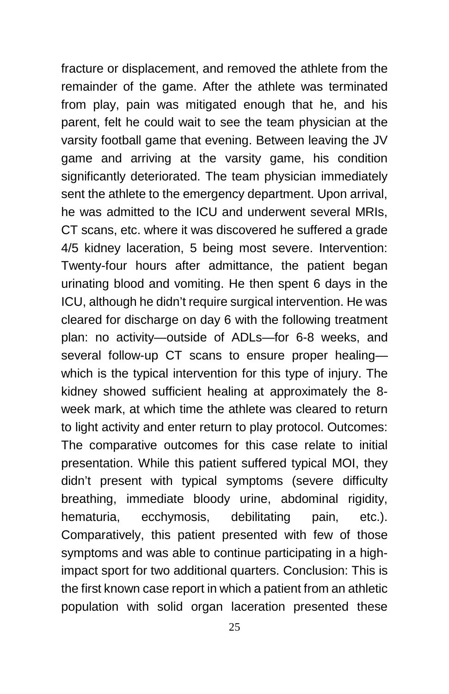fracture or displacement, and removed the athlete from the remainder of the game. After the athlete was terminated from play, pain was mitigated enough that he, and his parent, felt he could wait to see the team physician at the varsity football game that evening. Between leaving the JV game and arriving at the varsity game, his condition significantly deteriorated. The team physician immediately sent the athlete to the emergency department. Upon arrival, he was admitted to the ICU and underwent several MRIs, CT scans, etc. where it was discovered he suffered a grade 4/5 kidney laceration, 5 being most severe. Intervention: Twenty-four hours after admittance, the patient began urinating blood and vomiting. He then spent 6 days in the ICU, although he didn't require surgical intervention. He was cleared for discharge on day 6 with the following treatment plan: no activity—outside of ADLs—for 6-8 weeks, and several follow-up CT scans to ensure proper healing which is the typical intervention for this type of injury. The kidney showed sufficient healing at approximately the 8 week mark, at which time the athlete was cleared to return to light activity and enter return to play protocol. Outcomes: The comparative outcomes for this case relate to initial presentation. While this patient suffered typical MOI, they didn't present with typical symptoms (severe difficulty breathing, immediate bloody urine, abdominal rigidity, hematuria, ecchymosis, debilitating pain, etc.). Comparatively, this patient presented with few of those symptoms and was able to continue participating in a highimpact sport for two additional quarters. Conclusion: This is the first known case report in which a patient from an athletic population with solid organ laceration presented these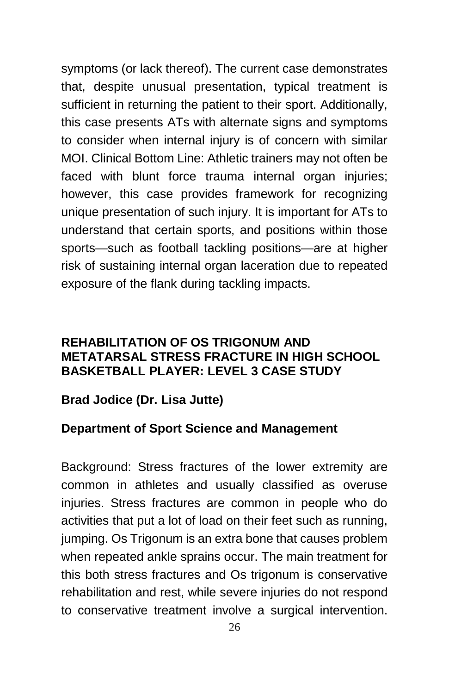symptoms (or lack thereof). The current case demonstrates that, despite unusual presentation, typical treatment is sufficient in returning the patient to their sport. Additionally, this case presents ATs with alternate signs and symptoms to consider when internal injury is of concern with similar MOI. Clinical Bottom Line: Athletic trainers may not often be faced with blunt force trauma internal organ injuries; however, this case provides framework for recognizing unique presentation of such injury. It is important for ATs to understand that certain sports, and positions within those sports—such as football tackling positions—are at higher risk of sustaining internal organ laceration due to repeated exposure of the flank during tackling impacts.

#### **REHABILITATION OF OS TRIGONUM AND METATARSAL STRESS FRACTURE IN HIGH SCHOOL BASKETBALL PLAYER: LEVEL 3 CASE STUDY**

#### **Brad Jodice (Dr. Lisa Jutte)**

#### **Department of Sport Science and Management**

Background: Stress fractures of the lower extremity are common in athletes and usually classified as overuse injuries. Stress fractures are common in people who do activities that put a lot of load on their feet such as running, jumping. Os Trigonum is an extra bone that causes problem when repeated ankle sprains occur. The main treatment for this both stress fractures and Os trigonum is conservative rehabilitation and rest, while severe injuries do not respond to conservative treatment involve a surgical intervention.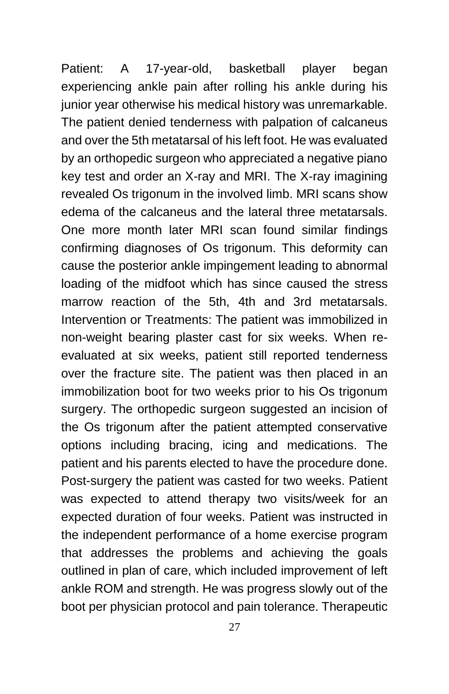Patient: A 17-year-old, basketball player began experiencing ankle pain after rolling his ankle during his junior year otherwise his medical history was unremarkable. The patient denied tenderness with palpation of calcaneus and over the 5th metatarsal of his left foot. He was evaluated by an orthopedic surgeon who appreciated a negative piano key test and order an X-ray and MRI. The X-ray imagining revealed Os trigonum in the involved limb. MRI scans show edema of the calcaneus and the lateral three metatarsals. One more month later MRI scan found similar findings confirming diagnoses of Os trigonum. This deformity can cause the posterior ankle impingement leading to abnormal loading of the midfoot which has since caused the stress marrow reaction of the 5th, 4th and 3rd metatarsals. Intervention or Treatments: The patient was immobilized in non-weight bearing plaster cast for six weeks. When reevaluated at six weeks, patient still reported tenderness over the fracture site. The patient was then placed in an immobilization boot for two weeks prior to his Os trigonum surgery. The orthopedic surgeon suggested an incision of the Os trigonum after the patient attempted conservative options including bracing, icing and medications. The patient and his parents elected to have the procedure done. Post-surgery the patient was casted for two weeks. Patient was expected to attend therapy two visits/week for an expected duration of four weeks. Patient was instructed in the independent performance of a home exercise program that addresses the problems and achieving the goals outlined in plan of care, which included improvement of left ankle ROM and strength. He was progress slowly out of the boot per physician protocol and pain tolerance. Therapeutic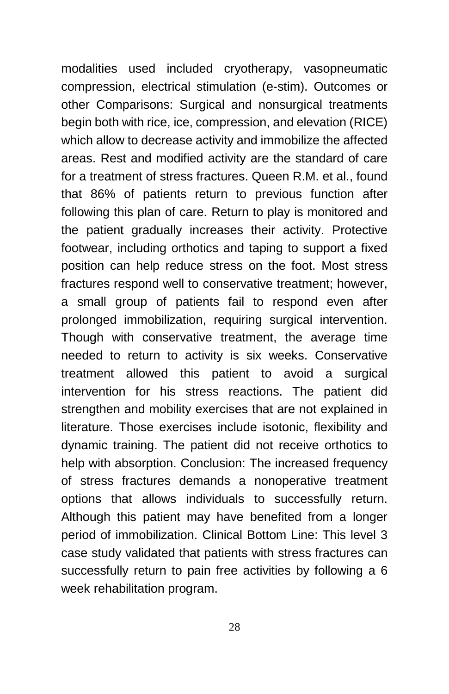modalities used included cryotherapy, vasopneumatic compression, electrical stimulation (e-stim). Outcomes or other Comparisons: Surgical and nonsurgical treatments begin both with rice, ice, compression, and elevation (RICE) which allow to decrease activity and immobilize the affected areas. Rest and modified activity are the standard of care for a treatment of stress fractures. Queen R.M. et al., found that 86% of patients return to previous function after following this plan of care. Return to play is monitored and the patient gradually increases their activity. Protective footwear, including orthotics and taping to support a fixed position can help reduce stress on the foot. Most stress fractures respond well to conservative treatment; however, a small group of patients fail to respond even after prolonged immobilization, requiring surgical intervention. Though with conservative treatment, the average time needed to return to activity is six weeks. Conservative treatment allowed this patient to avoid a surgical intervention for his stress reactions. The patient did strengthen and mobility exercises that are not explained in literature. Those exercises include isotonic, flexibility and dynamic training. The patient did not receive orthotics to help with absorption. Conclusion: The increased frequency of stress fractures demands a nonoperative treatment options that allows individuals to successfully return. Although this patient may have benefited from a longer period of immobilization. Clinical Bottom Line: This level 3 case study validated that patients with stress fractures can successfully return to pain free activities by following a 6 week rehabilitation program.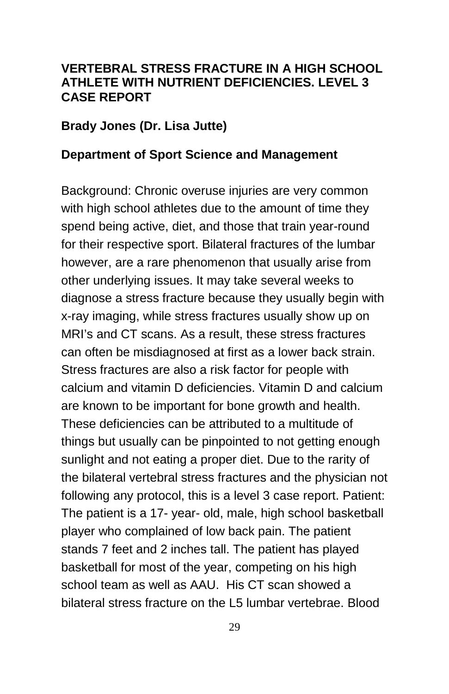#### **VERTEBRAL STRESS FRACTURE IN A HIGH SCHOOL ATHLETE WITH NUTRIENT DEFICIENCIES. LEVEL 3 CASE REPORT**

#### **Brady Jones (Dr. Lisa Jutte)**

#### **Department of Sport Science and Management**

Background: Chronic overuse injuries are very common with high school athletes due to the amount of time they spend being active, diet, and those that train year-round for their respective sport. Bilateral fractures of the lumbar however, are a rare phenomenon that usually arise from other underlying issues. It may take several weeks to diagnose a stress fracture because they usually begin with x-ray imaging, while stress fractures usually show up on MRI's and CT scans. As a result, these stress fractures can often be misdiagnosed at first as a lower back strain. Stress fractures are also a risk factor for people with calcium and vitamin D deficiencies. Vitamin D and calcium are known to be important for bone growth and health. These deficiencies can be attributed to a multitude of things but usually can be pinpointed to not getting enough sunlight and not eating a proper diet. Due to the rarity of the bilateral vertebral stress fractures and the physician not following any protocol, this is a level 3 case report. Patient: The patient is a 17- year- old, male, high school basketball player who complained of low back pain. The patient stands 7 feet and 2 inches tall. The patient has played basketball for most of the year, competing on his high school team as well as AAU. His CT scan showed a bilateral stress fracture on the L5 lumbar vertebrae. Blood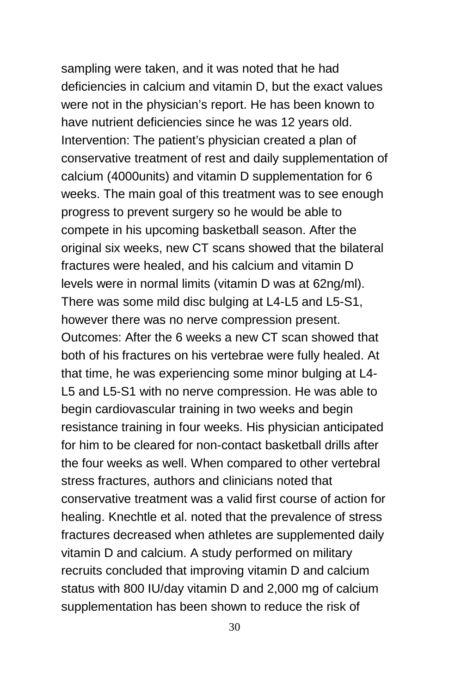sampling were taken, and it was noted that he had deficiencies in calcium and vitamin D, but the exact values were not in the physician's report. He has been known to have nutrient deficiencies since he was 12 years old. Intervention: The patient's physician created a plan of conservative treatment of rest and daily supplementation of calcium (4000units) and vitamin D supplementation for 6 weeks. The main goal of this treatment was to see enough progress to prevent surgery so he would be able to compete in his upcoming basketball season. After the original six weeks, new CT scans showed that the bilateral fractures were healed, and his calcium and vitamin D levels were in normal limits (vitamin D was at 62ng/ml). There was some mild disc bulging at L4-L5 and L5-S1, however there was no nerve compression present. Outcomes: After the 6 weeks a new CT scan showed that both of his fractures on his vertebrae were fully healed. At that time, he was experiencing some minor bulging at L4- L5 and L5-S1 with no nerve compression. He was able to begin cardiovascular training in two weeks and begin resistance training in four weeks. His physician anticipated for him to be cleared for non-contact basketball drills after the four weeks as well. When compared to other vertebral stress fractures, authors and clinicians noted that conservative treatment was a valid first course of action for healing. Knechtle et al. noted that the prevalence of stress fractures decreased when athletes are supplemented daily vitamin D and calcium. A study performed on military recruits concluded that improving vitamin D and calcium status with 800 IU/day vitamin D and 2,000 mg of calcium supplementation has been shown to reduce the risk of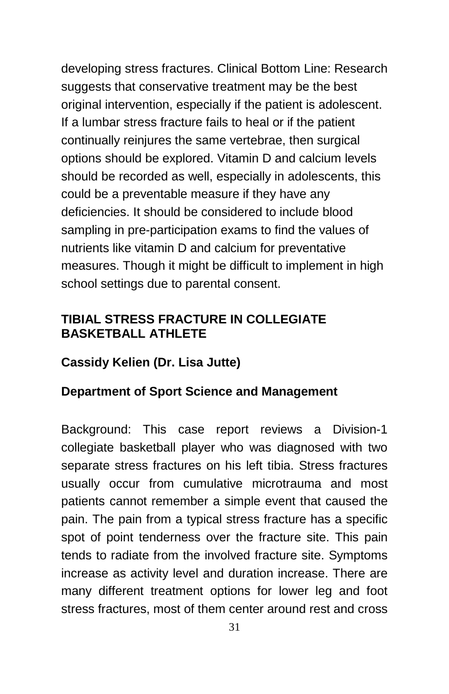developing stress fractures. Clinical Bottom Line: Research suggests that conservative treatment may be the best original intervention, especially if the patient is adolescent. If a lumbar stress fracture fails to heal or if the patient continually reinjures the same vertebrae, then surgical options should be explored. Vitamin D and calcium levels should be recorded as well, especially in adolescents, this could be a preventable measure if they have any deficiencies. It should be considered to include blood sampling in pre-participation exams to find the values of nutrients like vitamin D and calcium for preventative measures. Though it might be difficult to implement in high school settings due to parental consent.

#### **TIBIAL STRESS FRACTURE IN COLLEGIATE BASKETBALL ATHLETE**

#### **Cassidy Kelien (Dr. Lisa Jutte)**

#### **Department of Sport Science and Management**

Background: This case report reviews a Division-1 collegiate basketball player who was diagnosed with two separate stress fractures on his left tibia. Stress fractures usually occur from cumulative microtrauma and most patients cannot remember a simple event that caused the pain. The pain from a typical stress fracture has a specific spot of point tenderness over the fracture site. This pain tends to radiate from the involved fracture site. Symptoms increase as activity level and duration increase. There are many different treatment options for lower leg and foot stress fractures, most of them center around rest and cross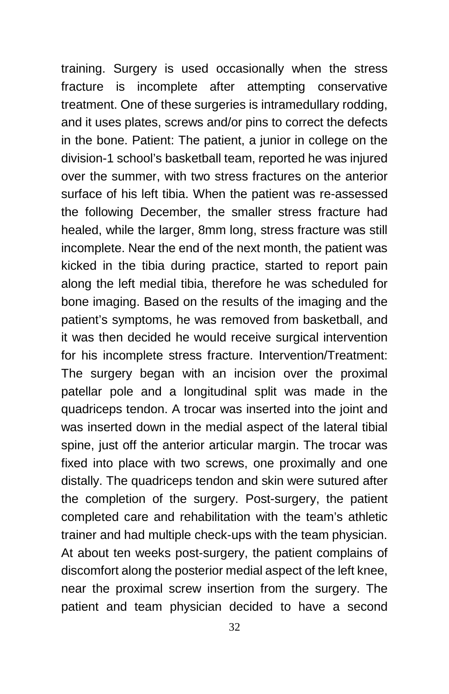training. Surgery is used occasionally when the stress fracture is incomplete after attempting conservative treatment. One of these surgeries is intramedullary rodding, and it uses plates, screws and/or pins to correct the defects in the bone. Patient: The patient, a junior in college on the division-1 school's basketball team, reported he was injured over the summer, with two stress fractures on the anterior surface of his left tibia. When the patient was re-assessed the following December, the smaller stress fracture had healed, while the larger, 8mm long, stress fracture was still incomplete. Near the end of the next month, the patient was kicked in the tibia during practice, started to report pain along the left medial tibia, therefore he was scheduled for bone imaging. Based on the results of the imaging and the patient's symptoms, he was removed from basketball, and it was then decided he would receive surgical intervention for his incomplete stress fracture. Intervention/Treatment: The surgery began with an incision over the proximal patellar pole and a longitudinal split was made in the quadriceps tendon. A trocar was inserted into the joint and was inserted down in the medial aspect of the lateral tibial spine, just off the anterior articular margin. The trocar was fixed into place with two screws, one proximally and one distally. The quadriceps tendon and skin were sutured after the completion of the surgery. Post-surgery, the patient completed care and rehabilitation with the team's athletic trainer and had multiple check-ups with the team physician. At about ten weeks post-surgery, the patient complains of discomfort along the posterior medial aspect of the left knee, near the proximal screw insertion from the surgery. The patient and team physician decided to have a second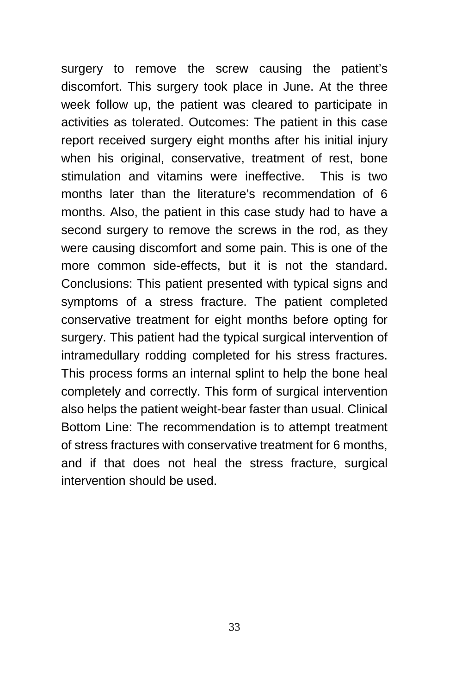surgery to remove the screw causing the patient's discomfort. This surgery took place in June. At the three week follow up, the patient was cleared to participate in activities as tolerated. Outcomes: The patient in this case report received surgery eight months after his initial injury when his original, conservative, treatment of rest, bone stimulation and vitamins were ineffective. This is two months later than the literature's recommendation of 6 months. Also, the patient in this case study had to have a second surgery to remove the screws in the rod, as they were causing discomfort and some pain. This is one of the more common side-effects, but it is not the standard. Conclusions: This patient presented with typical signs and symptoms of a stress fracture. The patient completed conservative treatment for eight months before opting for surgery. This patient had the typical surgical intervention of intramedullary rodding completed for his stress fractures. This process forms an internal splint to help the bone heal completely and correctly. This form of surgical intervention also helps the patient weight-bear faster than usual. Clinical Bottom Line: The recommendation is to attempt treatment of stress fractures with conservative treatment for 6 months, and if that does not heal the stress fracture, surgical intervention should be used.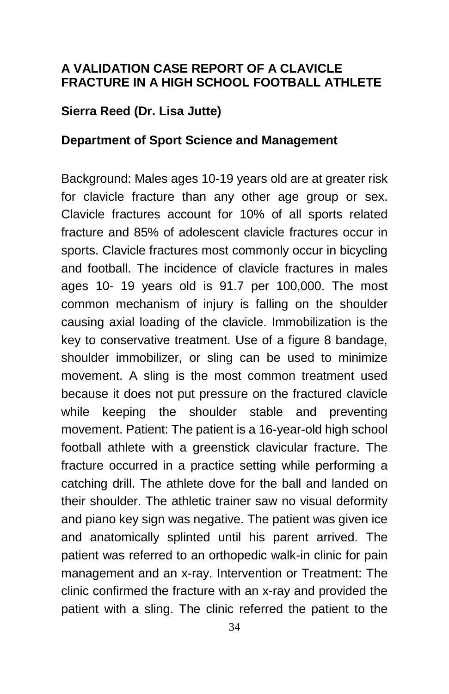#### **A VALIDATION CASE REPORT OF A CLAVICLE FRACTURE IN A HIGH SCHOOL FOOTBALL ATHLETE**

#### **Sierra Reed (Dr. Lisa Jutte)**

#### **Department of Sport Science and Management**

Background: Males ages 10-19 years old are at greater risk for clavicle fracture than any other age group or sex. Clavicle fractures account for 10% of all sports related fracture and 85% of adolescent clavicle fractures occur in sports. Clavicle fractures most commonly occur in bicycling and football. The incidence of clavicle fractures in males ages 10- 19 years old is 91.7 per 100,000. The most common mechanism of injury is falling on the shoulder causing axial loading of the clavicle. Immobilization is the key to conservative treatment. Use of a figure 8 bandage, shoulder immobilizer, or sling can be used to minimize movement. A sling is the most common treatment used because it does not put pressure on the fractured clavicle while keeping the shoulder stable and preventing movement. Patient: The patient is a 16-year-old high school football athlete with a greenstick clavicular fracture. The fracture occurred in a practice setting while performing a catching drill. The athlete dove for the ball and landed on their shoulder. The athletic trainer saw no visual deformity and piano key sign was negative. The patient was given ice and anatomically splinted until his parent arrived. The patient was referred to an orthopedic walk-in clinic for pain management and an x-ray. Intervention or Treatment: The clinic confirmed the fracture with an x-ray and provided the patient with a sling. The clinic referred the patient to the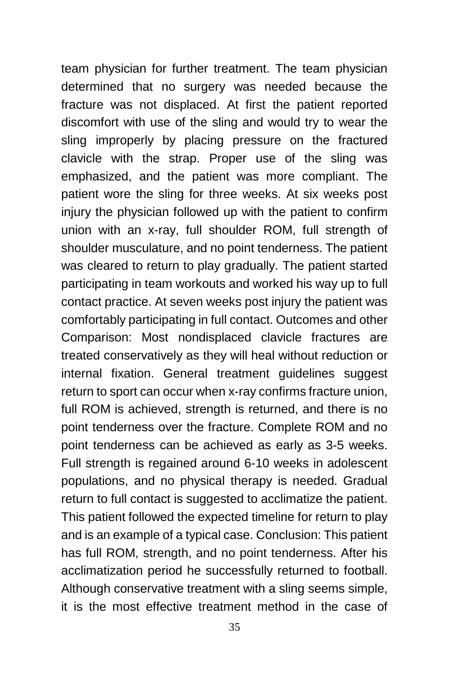team physician for further treatment. The team physician determined that no surgery was needed because the fracture was not displaced. At first the patient reported discomfort with use of the sling and would try to wear the sling improperly by placing pressure on the fractured clavicle with the strap. Proper use of the sling was emphasized, and the patient was more compliant. The patient wore the sling for three weeks. At six weeks post injury the physician followed up with the patient to confirm union with an x-ray, full shoulder ROM, full strength of shoulder musculature, and no point tenderness. The patient was cleared to return to play gradually. The patient started participating in team workouts and worked his way up to full contact practice. At seven weeks post injury the patient was comfortably participating in full contact. Outcomes and other Comparison: Most nondisplaced clavicle fractures are treated conservatively as they will heal without reduction or internal fixation. General treatment guidelines suggest return to sport can occur when x-ray confirms fracture union, full ROM is achieved, strength is returned, and there is no point tenderness over the fracture. Complete ROM and no point tenderness can be achieved as early as 3-5 weeks. Full strength is regained around 6-10 weeks in adolescent populations, and no physical therapy is needed. Gradual return to full contact is suggested to acclimatize the patient. This patient followed the expected timeline for return to play and is an example of a typical case. Conclusion: This patient has full ROM, strength, and no point tenderness. After his acclimatization period he successfully returned to football. Although conservative treatment with a sling seems simple, it is the most effective treatment method in the case of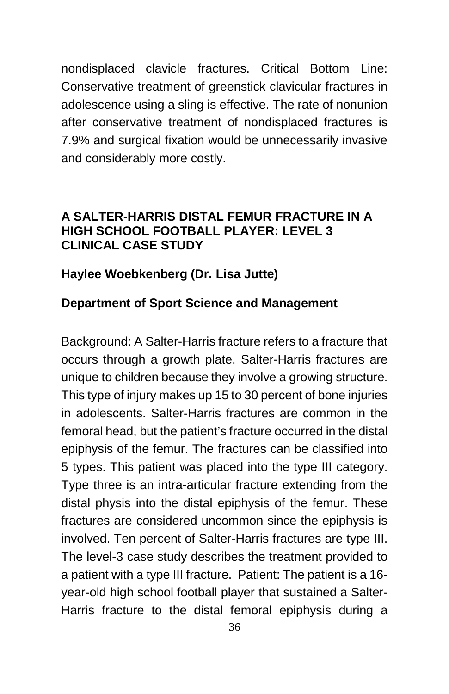nondisplaced clavicle fractures. Critical Bottom Line: Conservative treatment of greenstick clavicular fractures in adolescence using a sling is effective. The rate of nonunion after conservative treatment of nondisplaced fractures is 7.9% and surgical fixation would be unnecessarily invasive and considerably more costly.

#### **A SALTER-HARRIS DISTAL FEMUR FRACTURE IN A HIGH SCHOOL FOOTBALL PLAYER: LEVEL 3 CLINICAL CASE STUDY**

#### **Haylee Woebkenberg (Dr. Lisa Jutte)**

#### **Department of Sport Science and Management**

Background: A Salter-Harris fracture refers to a fracture that occurs through a growth plate. Salter-Harris fractures are unique to children because they involve a growing structure. This type of injury makes up 15 to 30 percent of bone injuries in adolescents. Salter-Harris fractures are common in the femoral head, but the patient's fracture occurred in the distal epiphysis of the femur. The fractures can be classified into 5 types. This patient was placed into the type III category. Type three is an intra-articular fracture extending from the distal physis into the distal epiphysis of the femur. These fractures are considered uncommon since the epiphysis is involved. Ten percent of Salter-Harris fractures are type III. The level-3 case study describes the treatment provided to a patient with a type III fracture. Patient: The patient is a 16 year-old high school football player that sustained a Salter-Harris fracture to the distal femoral epiphysis during a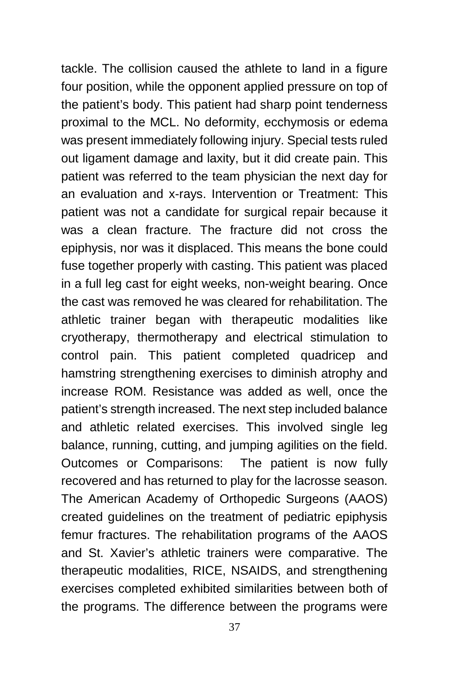tackle. The collision caused the athlete to land in a figure four position, while the opponent applied pressure on top of the patient's body. This patient had sharp point tenderness proximal to the MCL. No deformity, ecchymosis or edema was present immediately following injury. Special tests ruled out ligament damage and laxity, but it did create pain. This patient was referred to the team physician the next day for an evaluation and x-rays. Intervention or Treatment: This patient was not a candidate for surgical repair because it was a clean fracture. The fracture did not cross the epiphysis, nor was it displaced. This means the bone could fuse together properly with casting. This patient was placed in a full leg cast for eight weeks, non-weight bearing. Once the cast was removed he was cleared for rehabilitation. The athletic trainer began with therapeutic modalities like cryotherapy, thermotherapy and electrical stimulation to control pain. This patient completed quadricep and hamstring strengthening exercises to diminish atrophy and increase ROM. Resistance was added as well, once the patient's strength increased. The next step included balance and athletic related exercises. This involved single leg balance, running, cutting, and jumping agilities on the field. Outcomes or Comparisons: The patient is now fully recovered and has returned to play for the lacrosse season. The American Academy of Orthopedic Surgeons (AAOS) created guidelines on the treatment of pediatric epiphysis femur fractures. The rehabilitation programs of the AAOS and St. Xavier's athletic trainers were comparative. The therapeutic modalities, RICE, NSAIDS, and strengthening exercises completed exhibited similarities between both of the programs. The difference between the programs were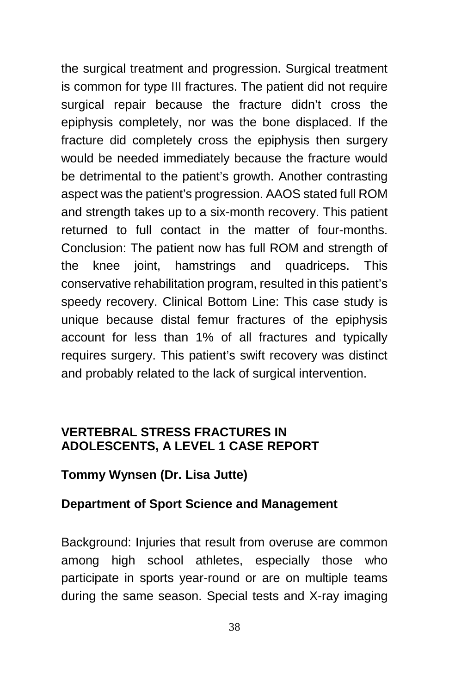the surgical treatment and progression. Surgical treatment is common for type III fractures. The patient did not require surgical repair because the fracture didn't cross the epiphysis completely, nor was the bone displaced. If the fracture did completely cross the epiphysis then surgery would be needed immediately because the fracture would be detrimental to the patient's growth. Another contrasting aspect was the patient's progression. AAOS stated full ROM and strength takes up to a six-month recovery. This patient returned to full contact in the matter of four-months. Conclusion: The patient now has full ROM and strength of the knee joint, hamstrings and quadriceps. This conservative rehabilitation program, resulted in this patient's speedy recovery. Clinical Bottom Line: This case study is unique because distal femur fractures of the epiphysis account for less than 1% of all fractures and typically requires surgery. This patient's swift recovery was distinct and probably related to the lack of surgical intervention.

#### **VERTEBRAL STRESS FRACTURES IN ADOLESCENTS, A LEVEL 1 CASE REPORT**

#### **Tommy Wynsen (Dr. Lisa Jutte)**

#### **Department of Sport Science and Management**

Background: Injuries that result from overuse are common among high school athletes, especially those who participate in sports year-round or are on multiple teams during the same season. Special tests and X-ray imaging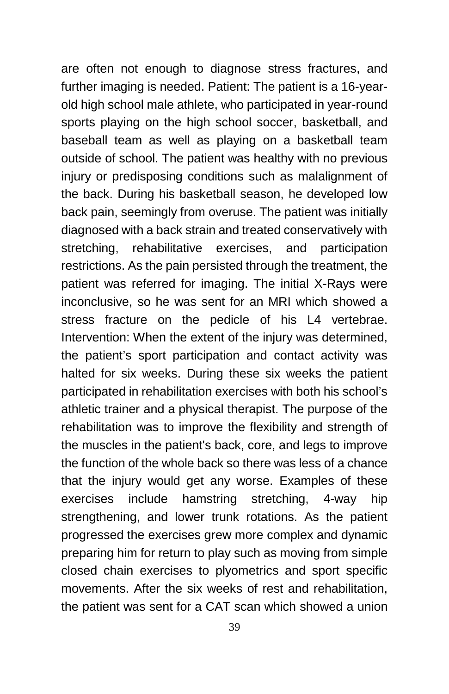are often not enough to diagnose stress fractures, and further imaging is needed. Patient: The patient is a 16-yearold high school male athlete, who participated in year-round sports playing on the high school soccer, basketball, and baseball team as well as playing on a basketball team outside of school. The patient was healthy with no previous injury or predisposing conditions such as malalignment of the back. During his basketball season, he developed low back pain, seemingly from overuse. The patient was initially diagnosed with a back strain and treated conservatively with stretching, rehabilitative exercises, and participation restrictions. As the pain persisted through the treatment, the patient was referred for imaging. The initial X-Rays were inconclusive, so he was sent for an MRI which showed a stress fracture on the pedicle of his L4 vertebrae. Intervention: When the extent of the injury was determined, the patient's sport participation and contact activity was halted for six weeks. During these six weeks the patient participated in rehabilitation exercises with both his school's athletic trainer and a physical therapist. The purpose of the rehabilitation was to improve the flexibility and strength of the muscles in the patient's back, core, and legs to improve the function of the whole back so there was less of a chance that the injury would get any worse. Examples of these exercises include hamstring stretching, 4-way hip strengthening, and lower trunk rotations. As the patient progressed the exercises grew more complex and dynamic preparing him for return to play such as moving from simple closed chain exercises to plyometrics and sport specific movements. After the six weeks of rest and rehabilitation, the patient was sent for a CAT scan which showed a union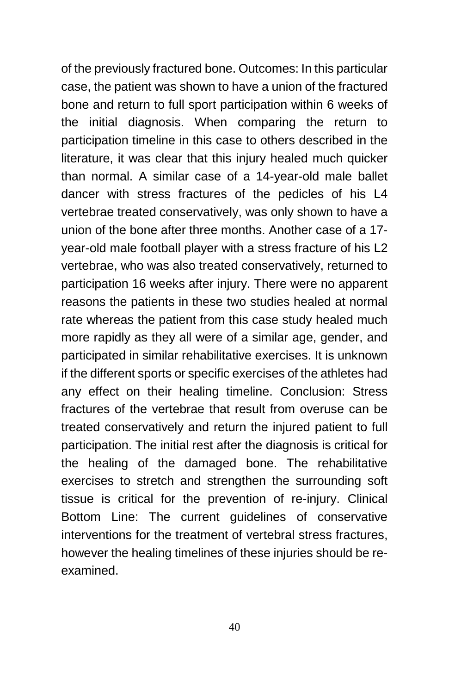of the previously fractured bone. Outcomes: In this particular case, the patient was shown to have a union of the fractured bone and return to full sport participation within 6 weeks of the initial diagnosis. When comparing the return to participation timeline in this case to others described in the literature, it was clear that this injury healed much quicker than normal. A similar case of a 14-year-old male ballet dancer with stress fractures of the pedicles of his L4 vertebrae treated conservatively, was only shown to have a union of the bone after three months. Another case of a 17 year-old male football player with a stress fracture of his L2 vertebrae, who was also treated conservatively, returned to participation 16 weeks after injury. There were no apparent reasons the patients in these two studies healed at normal rate whereas the patient from this case study healed much more rapidly as they all were of a similar age, gender, and participated in similar rehabilitative exercises. It is unknown if the different sports or specific exercises of the athletes had any effect on their healing timeline. Conclusion: Stress fractures of the vertebrae that result from overuse can be treated conservatively and return the injured patient to full participation. The initial rest after the diagnosis is critical for the healing of the damaged bone. The rehabilitative exercises to stretch and strengthen the surrounding soft tissue is critical for the prevention of re-injury. Clinical Bottom Line: The current guidelines of conservative interventions for the treatment of vertebral stress fractures, however the healing timelines of these injuries should be reexamined.